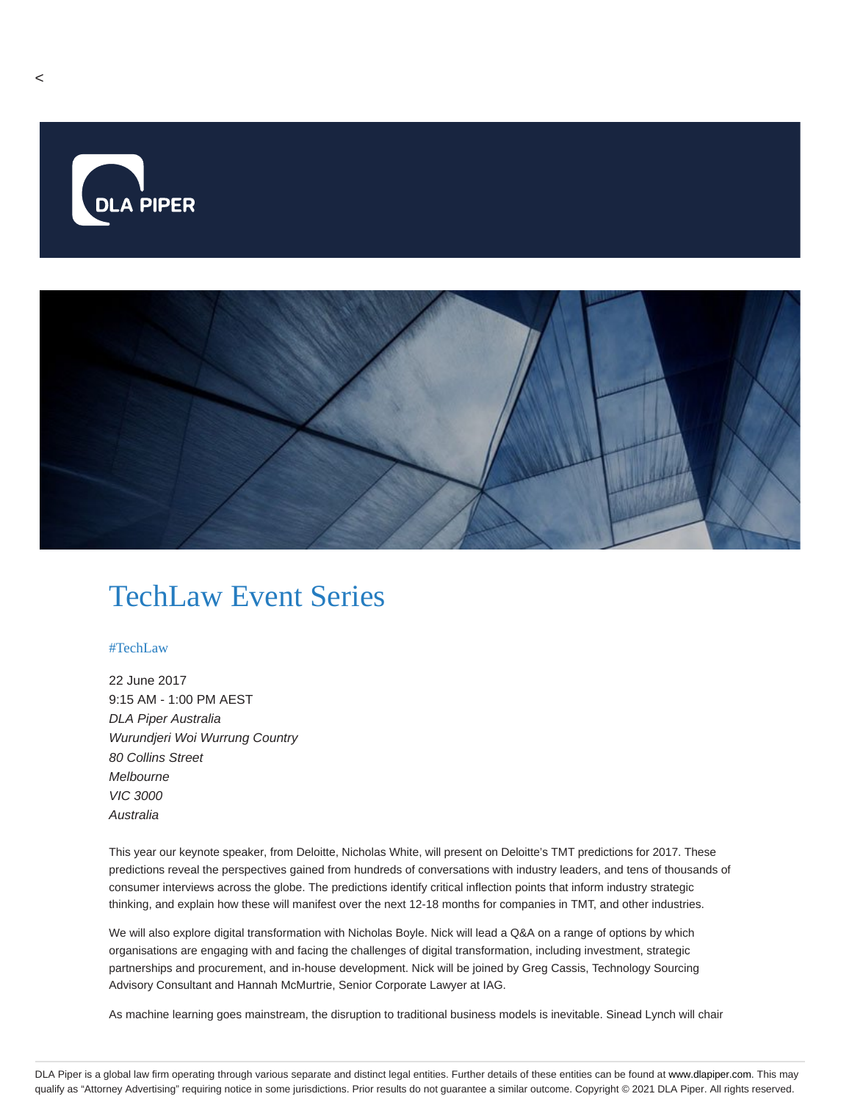

# TechLaw Event Series

#### #TechLaw

22 June 2017 9:15 AM - 1:00 PM AEST DLA Piper Australia Wurundjeri Woi Wurrung Country 80 Collins Street Melbourne VIC 3000 Australia

This year our keynote speaker, from Deloitte, Nicholas White, will present on Deloitte's TMT predictions for 2017. These predictions reveal the perspectives gained from hundreds of conversations with industry leaders, and tens of thousands of consumer interviews across the globe. The predictions identify critical inflection points that inform industry strategic thinking, and explain how these will manifest over the next 12-18 months for companies in TMT, and other industries.

We will also explore digital transformation with Nicholas Boyle. Nick will lead a Q&A on a range of options by which organisations are engaging with and facing the challenges of digital transformation, including investment, strategic partnerships and procurement, and in-house development. Nick will be joined by Greg Cassis, Technology Sourcing Advisory Consultant and Hannah McMurtrie, Senior Corporate Lawyer at IAG.

As machine learning goes mainstream, the disruption to traditional business models is inevitable. Sinead Lynch will chair